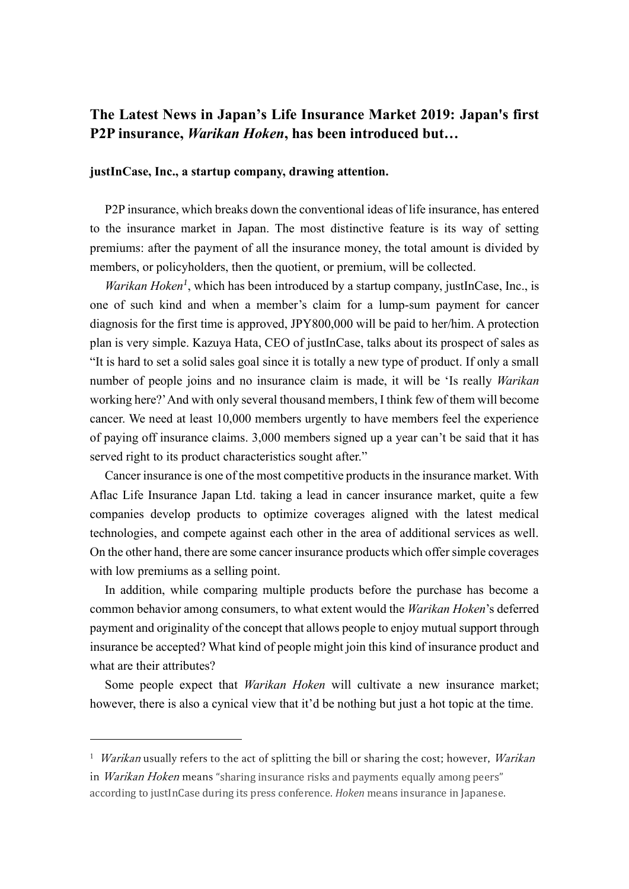# **The Latest News in Japan's Life Insurance Market 2019: Japan's first P2P insurance,** *Warikan Hoken***, has been introduced but…**

# **justInCase, Inc., a startup company, drawing attention.**

P2P insurance, which breaks down the conventional ideas of life insurance, has entered to the insurance market in Japan. The most distinctive feature is its way of setting premiums: after the payment of all the insurance money, the total amount is divided by members, or policyholders, then the quotient, or premium, will be collected.

*Warikan Hoken<sup>1</sup>* , which has been introduced by a startup company, justInCase, Inc., is one of such kind and when a member's claim for a lump-sum payment for cancer diagnosis for the first time is approved, JPY800,000 will be paid to her/him. A protection plan is very simple. Kazuya Hata, CEO of justInCase, talks about its prospect of sales as "It is hard to set a solid sales goal since it is totally a new type of product. If only a small number of people joins and no insurance claim is made, it will be 'Is really *Warikan* working here?'And with only several thousand members, I think few of them will become cancer. We need at least 10,000 members urgently to have members feel the experience of paying off insurance claims. 3,000 members signed up a year can't be said that it has served right to its product characteristics sought after."

Cancer insurance is one of the most competitive products in the insurance market. With Aflac Life Insurance Japan Ltd. taking a lead in cancer insurance market, quite a few companies develop products to optimize coverages aligned with the latest medical technologies, and compete against each other in the area of additional services as well. On the other hand, there are some cancer insurance products which offer simple coverages with low premiums as a selling point.

In addition, while comparing multiple products before the purchase has become a common behavior among consumers, to what extent would the *Warikan Hoken*'s deferred payment and originality of the concept that allows people to enjoy mutual support through insurance be accepted? What kind of people might join this kind of insurance product and what are their attributes?

Some people expect that *Warikan Hoken* will cultivate a new insurance market; however, there is also a cynical view that it'd be nothing but just a hot topic at the time.

<sup>&</sup>lt;sup>1</sup> Warikan usually refers to the act of splitting the bill or sharing the cost; however, Warikan in *Warikan Hoken* means "sharing insurance risks and payments equally among peers" according to justInCase during its press conference. *Hoken* means insurance in Japanese.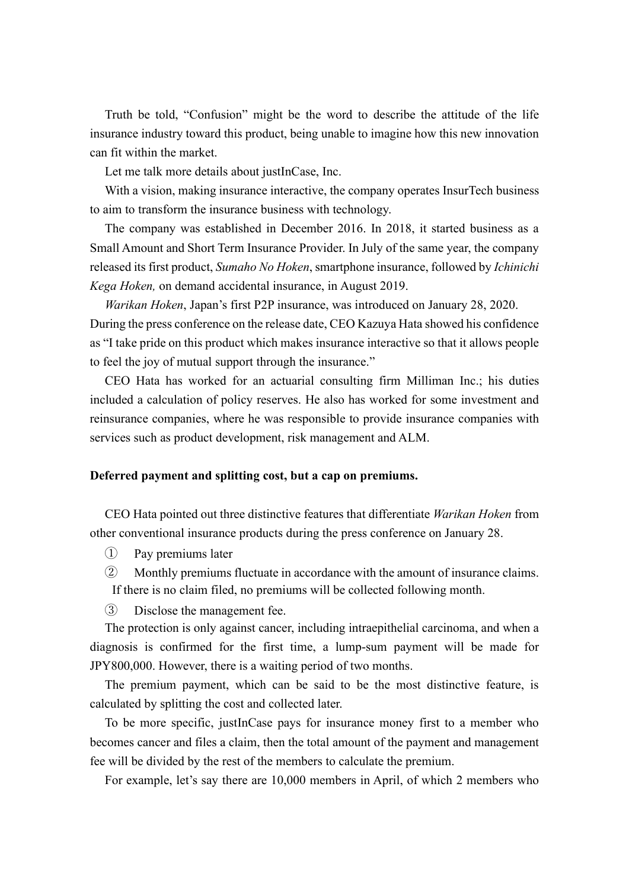Truth be told, "Confusion" might be the word to describe the attitude of the life insurance industry toward this product, being unable to imagine how this new innovation can fit within the market.

Let me talk more details about justInCase, Inc.

With a vision, making insurance interactive, the company operates InsurTech business to aim to transform the insurance business with technology.

The company was established in December 2016. In 2018, it started business as a Small Amount and Short Term Insurance Provider. In July of the same year, the company released its first product, *Sumaho No Hoken*, smartphone insurance, followed by *Ichinichi Kega Hoken,* on demand accidental insurance, in August 2019.

*Warikan Hoken*, Japan's first P2P insurance, was introduced on January 28, 2020. During the press conference on the release date, CEO Kazuya Hata showed his confidence as "I take pride on this product which makes insurance interactive so that it allows people to feel the joy of mutual support through the insurance."

CEO Hata has worked for an actuarial consulting firm Milliman Inc.; his duties included a calculation of policy reserves. He also has worked for some investment and reinsurance companies, where he was responsible to provide insurance companies with services such as product development, risk management and ALM.

### **Deferred payment and splitting cost, but a cap on premiums.**

CEO Hata pointed out three distinctive features that differentiate *Warikan Hoken* from other conventional insurance products during the press conference on January 28.

- ① Pay premiums later
- ② Monthly premiums fluctuate in accordance with the amount of insurance claims. If there is no claim filed, no premiums will be collected following month.
- ③ Disclose the management fee.

The protection is only against cancer, including intraepithelial carcinoma, and when a diagnosis is confirmed for the first time, a lump-sum payment will be made for JPY800,000. However, there is a waiting period of two months.

The premium payment, which can be said to be the most distinctive feature, is calculated by splitting the cost and collected later.

To be more specific, justInCase pays for insurance money first to a member who becomes cancer and files a claim, then the total amount of the payment and management fee will be divided by the rest of the members to calculate the premium.

For example, let's say there are 10,000 members in April, of which 2 members who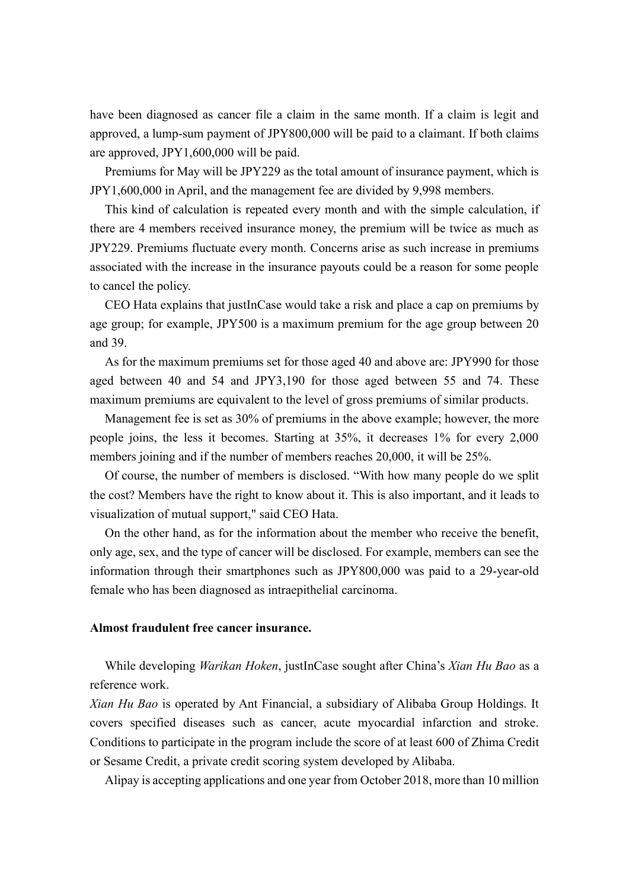have been diagnosed as cancer file a claim in the same month. If a claim is legit and approved, a lump-sum payment of JPY800,000 will be paid to a claimant. If both claims are approved, JPY1,600,000 will be paid.

Premiums for May will be JPY229 as the total amount of insurance payment, which is JPY1,600,000 in April, and the management fee are divided by 9,998 members.

This kind of calculation is repeated every month and with the simple calculation, if there are 4 members received insurance money, the premium will be twice as much as JPY229. Premiums fluctuate every month. Concerns arise as such increase in premiums associated with the increase in the insurance payouts could be a reason for some people to cancel the policy.

CEO Hata explains that justInCase would take a risk and place a cap on premiums by age group; for example, JPY500 is a maximum premium for the age group between 20 and 39.

As for the maximum premiums set for those aged 40 and above are: JPY990 for those aged between 40 and 54 and JPY3,190 for those aged between 55 and 74. These maximum premiums are equivalent to the level of gross premiums of similar products.

Management fee is set as 30% of premiums in the above example; however, the more people joins, the less it becomes. Starting at 35%, it decreases 1% for every 2,000 members joining and if the number of members reaches 20,000, it will be 25%.

Of course, the number of members is disclosed. "With how many people do we split the cost? Members have the right to know about it. This is also important, and it leads to visualization of mutual support," said CEO Hata.

On the other hand, as for the information about the member who receive the benefit, only age, sex, and the type of cancer will be disclosed. For example, members can see the information through their smartphones such as JPY800,000 was paid to a 29-year-old female who has been diagnosed as intraepithelial carcinoma.

# **Almost fraudulent free cancer insurance.**

While developing *Warikan Hoken*, justInCase sought after China's *Xian Hu Bao* as a reference work.

*Xian Hu Bao* is operated by Ant Financial, a subsidiary of Alibaba Group Holdings. It covers specified diseases such as cancer, acute myocardial infarction and stroke. Conditions to participate in the program include the score of at least 600 of Zhima Credit or Sesame Credit, a private credit scoring system developed by Alibaba.

Alipay is accepting applications and one year from October 2018, more than 10 million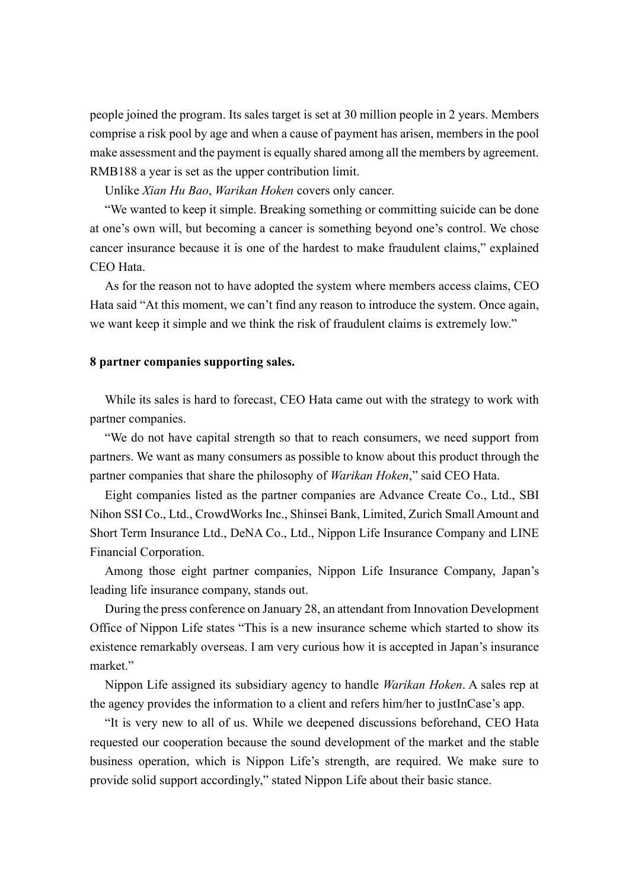people joined the program. Its sales target is set at 30 million people in 2 years. Members comprise a risk pool by age and when a cause of payment has arisen, members in the pool make assessment and the payment is equally shared among all the members by agreement. RMB188 a year is set as the upper contribution limit.

Unlike *Xian Hu Bao*, *Warikan Hoken* covers only cancer.

"We wanted to keep it simple. Breaking something or committing suicide can be done at one's own will, but becoming a cancer is something beyond one's control. We chose cancer insurance because it is one of the hardest to make fraudulent claims," explained CEO Hata.

As for the reason not to have adopted the system where members access claims, CEO Hata said "At this moment, we can't find any reason to introduce the system. Once again, we want keep it simple and we think the risk of fraudulent claims is extremely low."

#### **8 partner companies supporting sales.**

While its sales is hard to forecast, CEO Hata came out with the strategy to work with partner companies.

"We do not have capital strength so that to reach consumers, we need support from partners. We want as many consumers as possible to know about this product through the partner companies that share the philosophy of *Warikan Hoken*," said CEO Hata.

Eight companies listed as the partner companies are Advance Create Co., Ltd., SBI Nihon SSI Co., Ltd., CrowdWorks Inc., Shinsei Bank, Limited, Zurich Small Amount and Short Term Insurance Ltd., DeNA Co., Ltd., Nippon Life Insurance Company and LINE Financial Corporation.

Among those eight partner companies, Nippon Life Insurance Company, Japan's leading life insurance company, stands out.

During the press conference on January 28, an attendant from Innovation Development Office of Nippon Life states "This is a new insurance scheme which started to show its existence remarkably overseas. I am very curious how it is accepted in Japan's insurance market."

Nippon Life assigned its subsidiary agency to handle *Warikan Hoken*. A sales rep at the agency provides the information to a client and refers him/her to justInCase's app.

"It is very new to all of us. While we deepened discussions beforehand, CEO Hata requested our cooperation because the sound development of the market and the stable business operation, which is Nippon Life's strength, are required. We make sure to provide solid support accordingly," stated Nippon Life about their basic stance.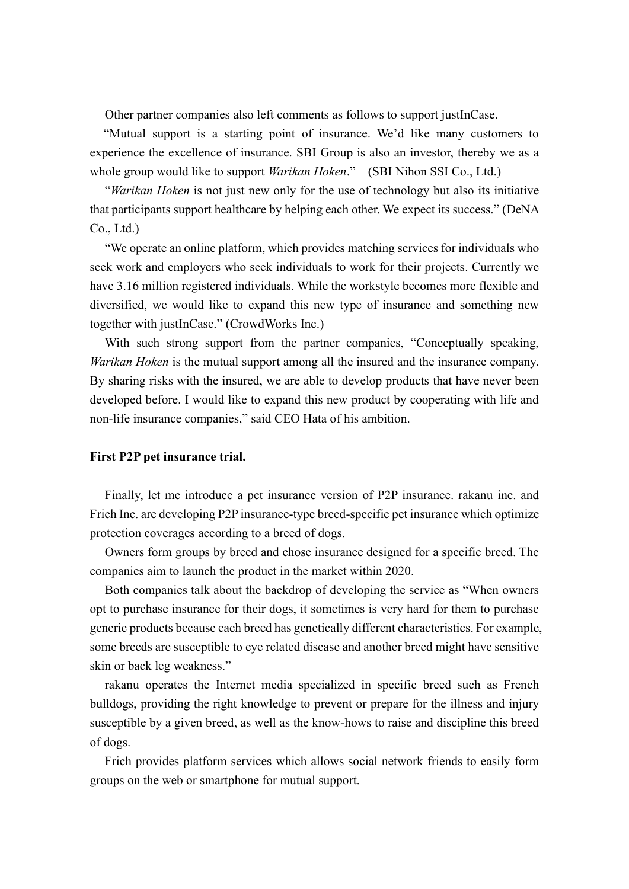Other partner companies also left comments as follows to support justInCase.

"Mutual support is a starting point of insurance. We'd like many customers to experience the excellence of insurance. SBI Group is also an investor, thereby we as a whole group would like to support *Warikan Hoken*." (SBI Nihon SSI Co., Ltd.)

"*Warikan Hoken* is not just new only for the use of technology but also its initiative that participants support healthcare by helping each other. We expect its success." (DeNA Co., Ltd.)

"We operate an online platform, which provides matching services for individuals who seek work and employers who seek individuals to work for their projects. Currently we have 3.16 million registered individuals. While the workstyle becomes more flexible and diversified, we would like to expand this new type of insurance and something new together with justInCase." (CrowdWorks Inc.)

With such strong support from the partner companies, "Conceptually speaking, *Warikan Hoken* is the mutual support among all the insured and the insurance company. By sharing risks with the insured, we are able to develop products that have never been developed before. I would like to expand this new product by cooperating with life and non-life insurance companies," said CEO Hata of his ambition.

# **First P2P pet insurance trial.**

Finally, let me introduce a pet insurance version of P2P insurance. rakanu inc. and Frich Inc. are developing P2P insurance-type breed-specific pet insurance which optimize protection coverages according to a breed of dogs.

Owners form groups by breed and chose insurance designed for a specific breed. The companies aim to launch the product in the market within 2020.

Both companies talk about the backdrop of developing the service as "When owners opt to purchase insurance for their dogs, it sometimes is very hard for them to purchase generic products because each breed has genetically different characteristics. For example, some breeds are susceptible to eye related disease and another breed might have sensitive skin or back leg weakness."

rakanu operates the Internet media specialized in specific breed such as French bulldogs, providing the right knowledge to prevent or prepare for the illness and injury susceptible by a given breed, as well as the know-hows to raise and discipline this breed of dogs.

Frich provides platform services which allows social network friends to easily form groups on the web or smartphone for mutual support.